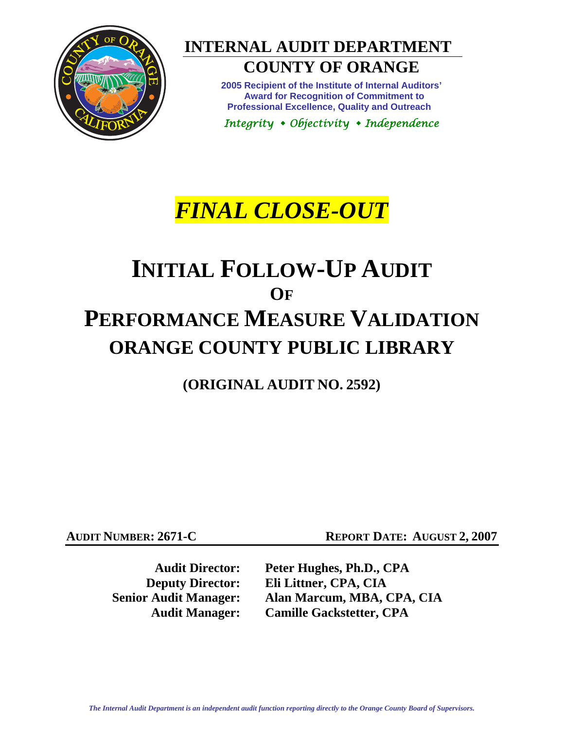

**INTERNAL AUDIT DEPARTMENT** 

# **COUNTY OF ORANGE**

**2005 Recipient of the Institute of Internal Auditors' Award for Recognition of Commitment to Professional Excellence, Quality and Outreach** 

*Integrity Objectivity Independence* 

# *FINAL CLOSE-OUT*

# **INITIAL FOLLOW-UP AUDIT OF PERFORMANCE MEASURE VALIDATION ORANGE COUNTY PUBLIC LIBRARY**

**(ORIGINAL AUDIT NO. 2592)** 

**AUDIT NUMBER: 2671-C REPORT DATE: AUGUST 2, 2007** 

**Audit Director: Peter Hughes, Ph.D., CPA Deputy Director: Eli Littner, CPA, CIA** 

 **Senior Audit Manager: Alan Marcum, MBA, CPA, CIA Audit Manager: Camille Gackstetter, CPA**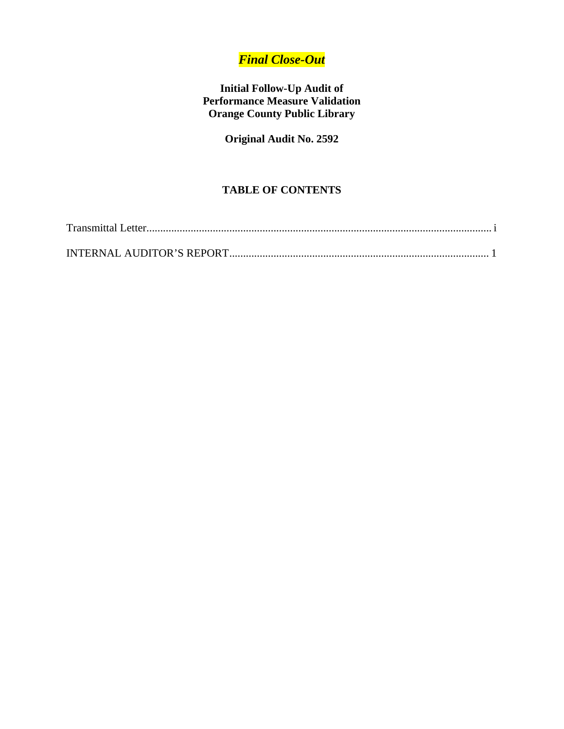# *Final Close-Out*

## **Initial Follow-Up Audit of Performance Measure Validation Orange County Public Library**

**Original Audit No. 2592** 

## **TABLE OF CONTENTS**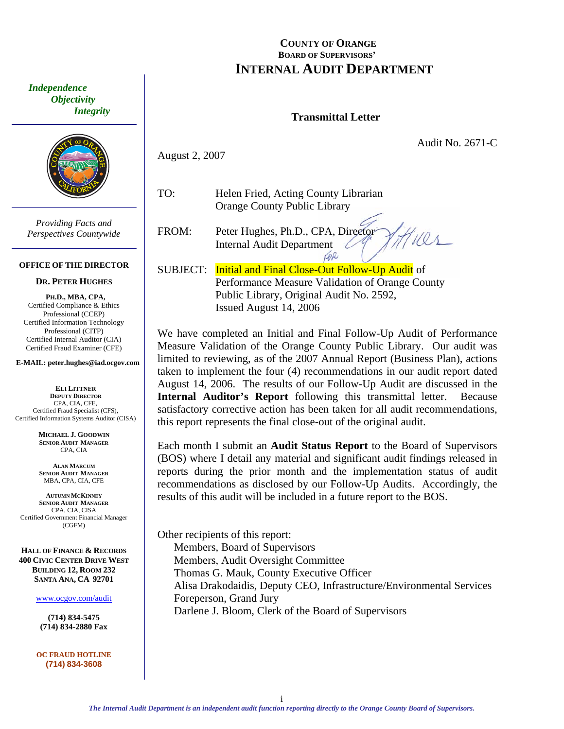### **COUNTY OF ORANGE BOARD OF SUPERVISORS' INTERNAL AUDIT DEPARTMENT**

#### **Transmittal Letter**

Audit No. 2671-C

 $\mathcal{O}_{\mathcal{A}}$ 

August 2, 2007

TO: Helen Fried, Acting County Librarian Orange County Public Library

FROM: Peter Hughes, Ph.D., CPA, Director Internal Audit Department  $\varnothing$ CAR

SUBJECT: Initial and Final Close-Out Follow-Up Audit of Performance Measure Validation of Orange County Public Library, Original Audit No. 2592, Issued August 14, 2006

We have completed an Initial and Final Follow-Up Audit of Performance Measure Validation of the Orange County Public Library. Our audit was limited to reviewing, as of the 2007 Annual Report (Business Plan), actions taken to implement the four (4) recommendations in our audit report dated August 14, 2006. The results of our Follow-Up Audit are discussed in the **Internal Auditor's Report** following this transmittal letter. Because satisfactory corrective action has been taken for all audit recommendations, this report represents the final close-out of the original audit.

Each month I submit an **Audit Status Report** to the Board of Supervisors (BOS) where I detail any material and significant audit findings released in reports during the prior month and the implementation status of audit recommendations as disclosed by our Follow-Up Audits. Accordingly, the results of this audit will be included in a future report to the BOS.

Other recipients of this report: Members, Board of Supervisors Members, Audit Oversight Committee Thomas G. Mauk, County Executive Officer Alisa Drakodaidis, Deputy CEO, Infrastructure/Environmental Services Foreperson, Grand Jury Darlene J. Bloom, Clerk of the Board of Supervisors

<span id="page-2-0"></span> *Independence Objectivity Integrity* 



*Providing Facts and Perspectives Countywide* 

#### **OFFICE OF THE DIRECTOR**

#### **DR. PETER HUGHES**

**PH.D., MBA, CPA,**  Certified Compliance & Ethics Professional (CCEP) Certified Information Technology Professional (CITP) Certified Internal Auditor (CIA) Certified Fraud Examiner (CFE)

**E-MAIL: peter.hughes@iad.ocgov.com** 

**ELI LITTNER DEPUTY DIRECTOR** CPA, CIA, CFE, Certified Fraud Specialist (CFS), Certified Information Systems Auditor (CISA)

> **MICHAEL J. GOODWIN SENIOR AUDIT MANAGER** CPA, CIA

**ALAN MARCUM SENIOR AUDIT MANAGER** MBA, CPA, CIA, CFE

**AUTUMN MCKINNEY SENIOR AUDIT MANAGER** CPA, CIA, CISA Certified Government Financial Manager (CGFM)

**HALL OF FINANCE & RECORDS 400 CIVIC CENTER DRIVE WEST BUILDING 12, ROOM 232 SANTA ANA, CA 92701** 

www.ocgov.com/audit

**(714) 834-5475 (714) 834-2880 Fax** 

**OC FRAUD HOTLINE (714) 834-3608**